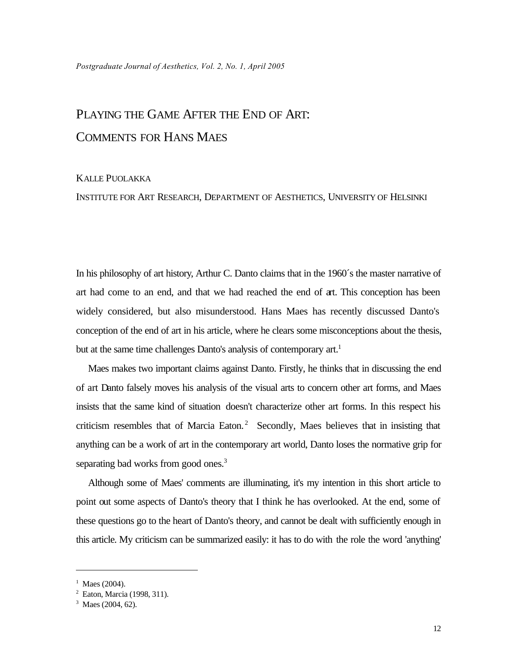## PLAYING THE GAME AFTER THE END OF ART: COMMENTS FOR HANS MAES

## KALLE PUOLAKKA

INSTITUTE FOR ART RESEARCH, DEPARTMENT OF AESTHETICS, UNIVERSITY OF HELSINKI

In his philosophy of art history, Arthur C. Danto claims that in the 1960´s the master narrative of art had come to an end, and that we had reached the end of art. This conception has been widely considered, but also misunderstood. Hans Maes has recently discussed Danto's conception of the end of art in his article, where he clears some misconceptions about the thesis, but at the same time challenges Danto's analysis of contemporary art.<sup>1</sup>

Maes makes two important claims against Danto. Firstly, he thinks that in discussing the end of art Danto falsely moves his analysis of the visual arts to concern other art forms, and Maes insists that the same kind of situation doesn't characterize other art forms. In this respect his criticism resembles that of Marcia Eaton.<sup>2</sup> Secondly, Maes believes that in insisting that anything can be a work of art in the contemporary art world, Danto loses the normative grip for separating bad works from good ones.<sup>3</sup>

Although some of Maes' comments are illuminating, it's my intention in this short article to point out some aspects of Danto's theory that I think he has overlooked. At the end, some of these questions go to the heart of Danto's theory, and cannot be dealt with sufficiently enough in this article. My criticism can be summarized easily: it has to do with the role the word 'anything'

 $1$  Maes (2004).

<sup>2</sup> Eaton, Marcia (1998, 311).

<sup>&</sup>lt;sup>3</sup> Maes (2004, 62).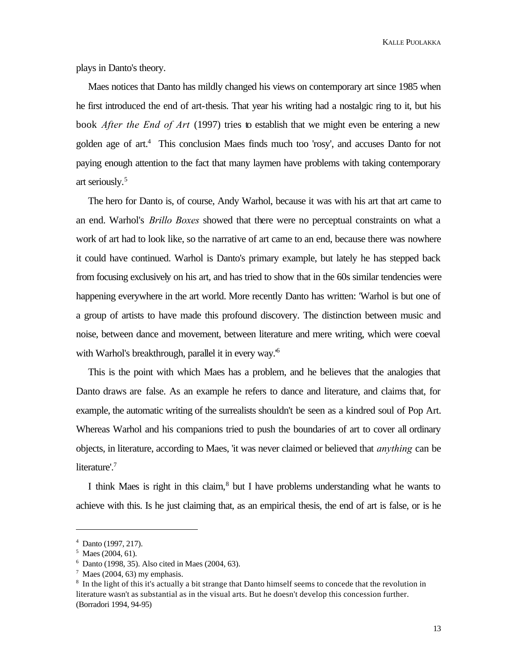plays in Danto's theory.

Maes notices that Danto has mildly changed his views on contemporary art since 1985 when he first introduced the end of art-thesis. That year his writing had a nostalgic ring to it, but his book *After the End of Art* (1997) tries to establish that we might even be entering a new golden age of art.<sup>4</sup> This conclusion Maes finds much too 'rosy', and accuses Danto for not paying enough attention to the fact that many laymen have problems with taking contemporary art seriously.<sup>5</sup>

The hero for Danto is, of course, Andy Warhol, because it was with his art that art came to an end. Warhol's *Brillo Boxes* showed that there were no perceptual constraints on what a work of art had to look like, so the narrative of art came to an end, because there was nowhere it could have continued. Warhol is Danto's primary example, but lately he has stepped back from focusing exclusively on his art, and has tried to show that in the 60s similar tendencies were happening everywhere in the art world. More recently Danto has written: 'Warhol is but one of a group of artists to have made this profound discovery. The distinction between music and noise, between dance and movement, between literature and mere writing, which were coeval with Warhol's breakthrough, parallel it in every way.'<sup>6</sup>

This is the point with which Maes has a problem, and he believes that the analogies that Danto draws are false. As an example he refers to dance and literature, and claims that, for example, the automatic writing of the surrealists shouldn't be seen as a kindred soul of Pop Art. Whereas Warhol and his companions tried to push the boundaries of art to cover all ordinary objects, in literature, according to Maes, 'it was never claimed or believed that *anything* can be literature'.<sup>7</sup>

I think Maes is right in this claim,<sup>8</sup> but I have problems understanding what he wants to achieve with this. Is he just claiming that, as an empirical thesis, the end of art is false, or is he

<sup>4</sup> Danto (1997, 217).

<sup>&</sup>lt;sup>5</sup> Maes (2004, 61).

<sup>6</sup> Danto (1998, 35). Also cited in Maes (2004, 63).

 $7$  Maes (2004, 63) my emphasis.

<sup>&</sup>lt;sup>8</sup> In the light of this it's actually a bit strange that Danto himself seems to concede that the revolution in literature wasn't as substantial as in the visual arts. But he doesn't develop this concession further. (Borradori 1994, 94-95)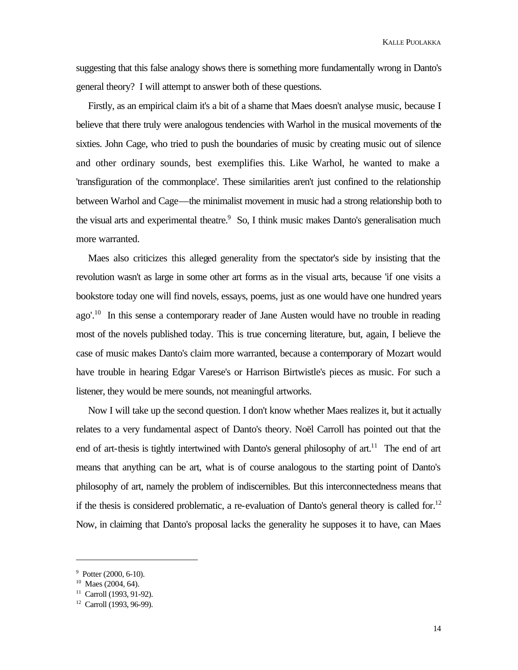suggesting that this false analogy shows there is something more fundamentally wrong in Danto's general theory? I will attempt to answer both of these questions.

Firstly, as an empirical claim it's a bit of a shame that Maes doesn't analyse music, because I believe that there truly were analogous tendencies with Warhol in the musical movements of the sixties. John Cage, who tried to push the boundaries of music by creating music out of silence and other ordinary sounds, best exemplifies this. Like Warhol, he wanted to make a 'transfiguration of the commonplace'. These similarities aren't just confined to the relationship between Warhol and Cage—the minimalist movement in music had a strong relationship both to the visual arts and experimental theatre.<sup>9</sup> So, I think music makes Danto's generalisation much more warranted.

Maes also criticizes this alleged generality from the spectator's side by insisting that the revolution wasn't as large in some other art forms as in the visual arts, because 'if one visits a bookstore today one will find novels, essays, poems, just as one would have one hundred years ago'.<sup>10</sup> In this sense a contemporary reader of Jane Austen would have no trouble in reading most of the novels published today. This is true concerning literature, but, again, I believe the case of music makes Danto's claim more warranted, because a contemporary of Mozart would have trouble in hearing Edgar Varese's or Harrison Birtwistle's pieces as music. For such a listener, they would be mere sounds, not meaningful artworks.

Now I will take up the second question. I don't know whether Maes realizes it, but it actually relates to a very fundamental aspect of Danto's theory. Noël Carroll has pointed out that the end of art-thesis is tightly intertwined with Danto's general philosophy of  $art$ <sup>11</sup>. The end of art means that anything can be art, what is of course analogous to the starting point of Danto's philosophy of art, namely the problem of indiscernibles. But this interconnectedness means that if the thesis is considered problematic, a re-evaluation of Danto's general theory is called for.<sup>12</sup> Now, in claiming that Danto's proposal lacks the generality he supposes it to have, can Maes

 $9$  Potter (2000, 6-10).

 $10$  Maes (2004, 64).

<sup>&</sup>lt;sup>11</sup> Carroll (1993, 91-92).

<sup>12</sup> Carroll (1993, 96-99).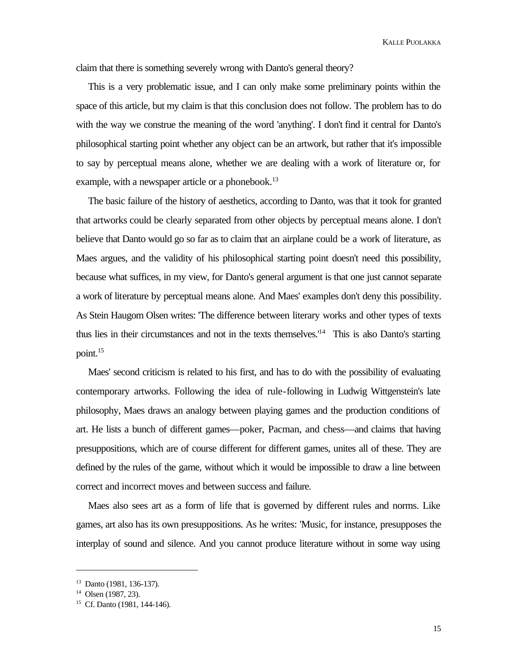claim that there is something severely wrong with Danto's general theory?

This is a very problematic issue, and I can only make some preliminary points within the space of this article, but my claim is that this conclusion does not follow. The problem has to do with the way we construe the meaning of the word 'anything'. I don't find it central for Danto's philosophical starting point whether any object can be an artwork, but rather that it's impossible to say by perceptual means alone, whether we are dealing with a work of literature or, for example, with a newspaper article or a phonebook.<sup>13</sup>

The basic failure of the history of aesthetics, according to Danto, was that it took for granted that artworks could be clearly separated from other objects by perceptual means alone. I don't believe that Danto would go so far as to claim that an airplane could be a work of literature, as Maes argues, and the validity of his philosophical starting point doesn't need this possibility, because what suffices, in my view, for Danto's general argument is that one just cannot separate a work of literature by perceptual means alone. And Maes' examples don't deny this possibility. As Stein Haugom Olsen writes: 'The difference between literary works and other types of texts thus lies in their circumstances and not in the texts themselves.'<sup>14</sup> This is also Danto's starting point.<sup>15</sup>

Maes' second criticism is related to his first, and has to do with the possibility of evaluating contemporary artworks. Following the idea of rule-following in Ludwig Wittgenstein's late philosophy, Maes draws an analogy between playing games and the production conditions of art. He lists a bunch of different games—poker, Pacman, and chess—and claims that having presuppositions, which are of course different for different games, unites all of these. They are defined by the rules of the game, without which it would be impossible to draw a line between correct and incorrect moves and between success and failure.

Maes also sees art as a form of life that is governed by different rules and norms. Like games, art also has its own presuppositions. As he writes: 'Music, for instance, presupposes the interplay of sound and silence. And you cannot produce literature without in some way using

<sup>13</sup> Danto (1981, 136-137).

 $14$  Olsen (1987, 23).

<sup>15</sup> Cf. Danto (1981, 144-146).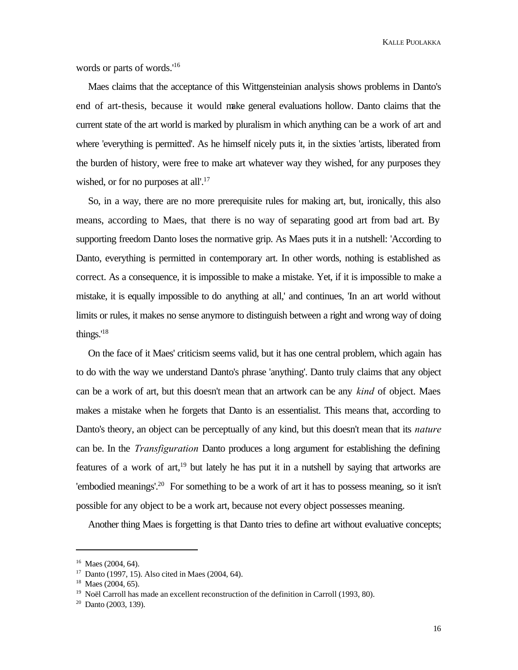words or parts of words.'<sup>16</sup>

Maes claims that the acceptance of this Wittgensteinian analysis shows problems in Danto's end of art-thesis, because it would make general evaluations hollow. Danto claims that the current state of the art world is marked by pluralism in which anything can be a work of art and where 'everything is permitted'. As he himself nicely puts it, in the sixties 'artists, liberated from the burden of history, were free to make art whatever way they wished, for any purposes they wished, or for no purposes at all'.<sup>17</sup>

So, in a way, there are no more prerequisite rules for making art, but, ironically, this also means, according to Maes, that there is no way of separating good art from bad art. By supporting freedom Danto loses the normative grip. As Maes puts it in a nutshell: 'According to Danto, everything is permitted in contemporary art. In other words, nothing is established as correct. As a consequence, it is impossible to make a mistake. Yet, if it is impossible to make a mistake, it is equally impossible to do anything at all,' and continues, 'In an art world without limits or rules, it makes no sense anymore to distinguish between a right and wrong way of doing things.'<sup>18</sup>

On the face of it Maes' criticism seems valid, but it has one central problem, which again has to do with the way we understand Danto's phrase 'anything'. Danto truly claims that any object can be a work of art, but this doesn't mean that an artwork can be any *kind* of object. Maes makes a mistake when he forgets that Danto is an essentialist. This means that, according to Danto's theory, an object can be perceptually of any kind, but this doesn't mean that its *nature* can be. In the *Transfiguration* Danto produces a long argument for establishing the defining features of a work of art,  $19$  but lately he has put it in a nutshell by saying that artworks are 'embodied meanings'.<sup>20</sup> For something to be a work of art it has to possess meaning, so it isn't possible for any object to be a work art, because not every object possesses meaning.

Another thing Maes is forgetting is that Danto tries to define art without evaluative concepts;

<sup>&</sup>lt;sup>16</sup> Maes (2004, 64).

<sup>17</sup> Danto (1997, 15). Also cited in Maes (2004, 64).

 $18$  Maes (2004, 65).

 $19$  Noël Carroll has made an excellent reconstruction of the definition in Carroll (1993, 80).

 $20$  Danto (2003, 139).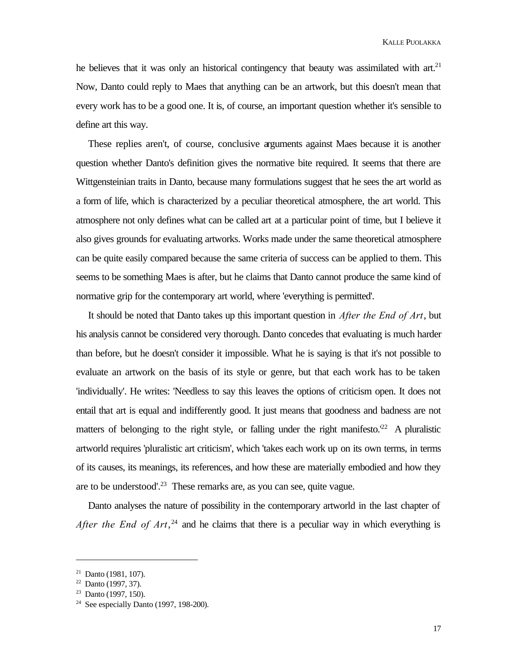he believes that it was only an historical contingency that beauty was assimilated with art.<sup>21</sup> Now, Danto could reply to Maes that anything can be an artwork, but this doesn't mean that every work has to be a good one. It is, of course, an important question whether it's sensible to define art this way.

These replies aren't, of course, conclusive arguments against Maes because it is another question whether Danto's definition gives the normative bite required. It seems that there are Wittgensteinian traits in Danto, because many formulations suggest that he sees the art world as a form of life, which is characterized by a peculiar theoretical atmosphere, the art world. This atmosphere not only defines what can be called art at a particular point of time, but I believe it also gives grounds for evaluating artworks. Works made under the same theoretical atmosphere can be quite easily compared because the same criteria of success can be applied to them. This seems to be something Maes is after, but he claims that Danto cannot produce the same kind of normative grip for the contemporary art world, where 'everything is permitted'.

It should be noted that Danto takes up this important question in *After the End of Art*, but his analysis cannot be considered very thorough. Danto concedes that evaluating is much harder than before, but he doesn't consider it impossible. What he is saying is that it's not possible to evaluate an artwork on the basis of its style or genre, but that each work has to be taken 'individually'. He writes: 'Needless to say this leaves the options of criticism open. It does not entail that art is equal and indifferently good. It just means that goodness and badness are not matters of belonging to the right style, or falling under the right manifesto.<sup> $22$ </sup> A pluralistic artworld requires 'pluralistic art criticism', which 'takes each work up on its own terms, in terms of its causes, its meanings, its references, and how these are materially embodied and how they are to be understood'.<sup>23</sup> These remarks are, as you can see, quite vague.

Danto analyses the nature of possibility in the contemporary artworld in the last chapter of *After the End of Art*, $24$  and he claims that there is a peculiar way in which everything is

 $21$  Danto (1981, 107).

 $22$  Danto (1997, 37).

 $23$  Danto (1997, 150).

<sup>&</sup>lt;sup>24</sup> See especially Danto (1997, 198-200).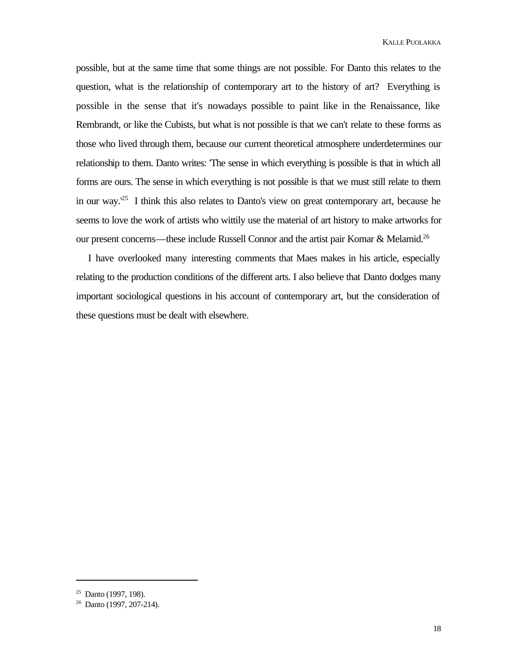possible, but at the same time that some things are not possible. For Danto this relates to the question, what is the relationship of contemporary art to the history of art? Everything is possible in the sense that it's nowadays possible to paint like in the Renaissance, like Rembrandt, or like the Cubists, but what is not possible is that we can't relate to these forms as those who lived through them, because our current theoretical atmosphere underdetermines our relationship to them. Danto writes: 'The sense in which everything is possible is that in which all forms are ours. The sense in which everything is not possible is that we must still relate to them in our way.<sup>25</sup> I think this also relates to Danto's view on great contemporary art, because he seems to love the work of artists who wittily use the material of art history to make artworks for our present concerns—these include Russell Connor and the artist pair Komar & Melamid.<sup>26</sup>

I have overlooked many interesting comments that Maes makes in his article, especially relating to the production conditions of the different arts. I also believe that Danto dodges many important sociological questions in his account of contemporary art, but the consideration of these questions must be dealt with elsewhere.

 $25$  Danto (1997, 198).

<sup>26</sup> Danto (1997, 207-214).